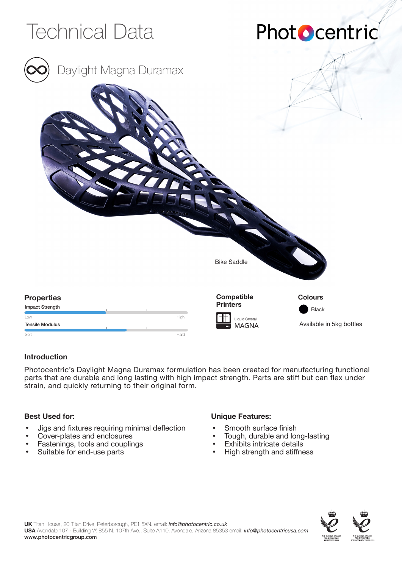

## **Introduction**

Photocentric's Daylight Magna Duramax formulation has been created for manufacturing functional parts that are durable and long lasting with high impact strength. Parts are stiff but can flex under strain, and quickly returning to their original form.

### **Best Used for:**

- Jigs and fixtures requiring minimal deflection
- Cover-plates and enclosures
- Fastenings, tools and couplings
- Suitable for end-use parts

## **Unique Features:**

- Smooth surface finish
- Tough, durable and long-lasting
- **Exhibits intricate details**
- High strength and stiffness